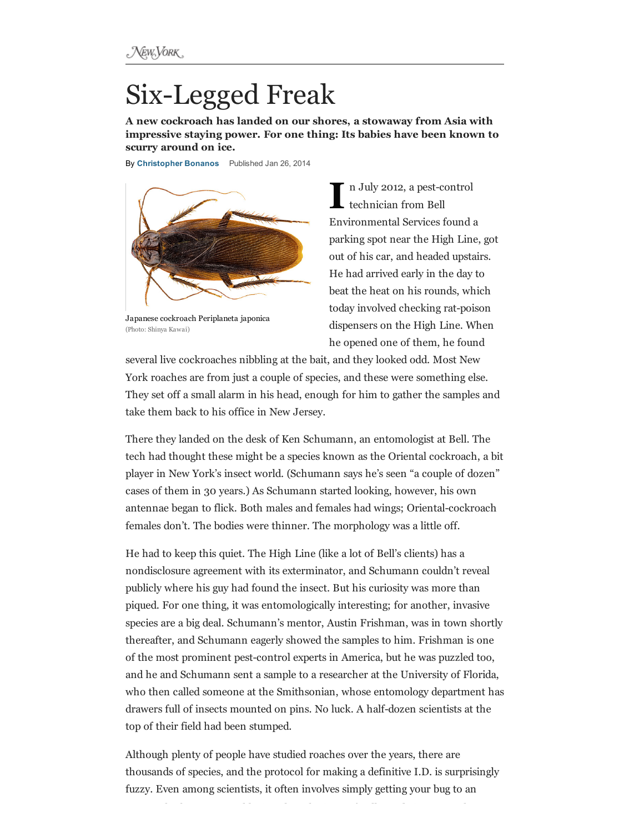## **Six-Legged Freak**

A new cockroach has landed on our shores, a stowaway from Asia with impressive staying power. For one thing: Its babies have been known to scurry around on ice.

By [Christopher](http://nymag.com/nymag/author_212) Bonanos Published Jan 26, 2014



Japanese cockroach Periplaneta japonica (Photo: Shinya Kawai)

 $\mathbf{I}^{\text{r}}$ n July 2012, a pest-control technician from Bell Environmental Services found a parking spot near the High Line, got out of his car, and headed upstairs. He had arrived early in the day to beat the heat on his rounds, which today involved checking rat-poison dispensers on the High Line. When he opened one of them, he found

several live cockroaches nibbling at the bait, and they looked odd. Most New York roaches are from just a couple of species, and these were something else. They set off a small alarm in his head, enough for him to gather the samples and take them back to his office in New Jersey.

There they landed on the desk of Ken Schumann, an entomologist at Bell. The tech had thought these might be a species known as the Oriental cockroach, a bit player in New York's insect world. (Schumann says he's seen "a couple of dozen" cases of them in 30 years.) As Schumann started looking, however, his own antennae began to flick. Both males and females had wings; Oriental-cockroach females don't. The bodies were thinner. The morphology was a little off.

He had to keep this quiet. The High Line (like a lot of Bell's clients) has a nondisclosure agreement with its exterminator, and Schumann couldn't reveal publicly where his guy had found the insect. But his curiosity was more than piqued. For one thing, it was entomologically interesting; for another, invasive species are a big deal. Schumann's mentor, Austin Frishman, was in town shortly thereafter, and Schumann eagerly showed the samples to him. Frishman is one of the most prominent pest-control experts in America, but he was puzzled too, and he and Schumann sent a sample to a researcher at the University of Florida, who then called someone at the Smithsonian, whose entomology department has drawers full of insects mounted on pins. No luck. A half-dozen scientists at the top of their field had been stumped.

Although plenty of people have studied roaches over the years, there are thousands of species, and the protocol for making a definitive I.D. is surprisingly fuzzy. Even among scientists, it often involves simply getting your bug to an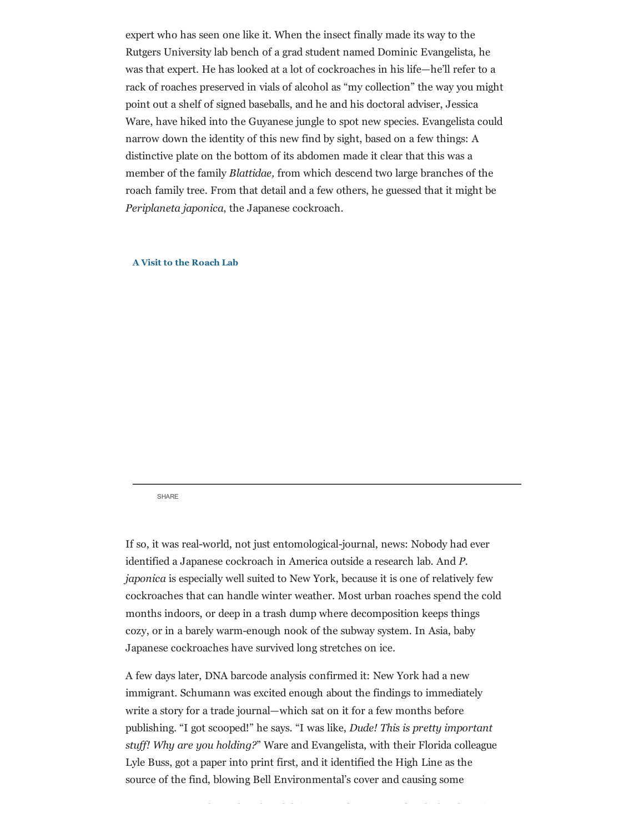expert who has seen one like it. When the insect finally made its way to the Rutgers University lab bench of a grad student named Dominic Evangelista, he was that expert. He has looked at a lot of cockroaches in his life—he'll refer to a rack of roaches preserved in vials of alcohol as "my collection" the way you might point out a shelf of signed baseballs, and he and his doctoral adviser, Jessica Ware, have hiked into the Guyanese jungle to spot new species. Evangelista could narrow down the identity of this new find by sight, based on a few things: A distinctive plate on the bottom of its abdomen made it clear that this was a member of the family Blattidae, from which descend two large branches of the roach family tree. From that detail and a few others, he guessed that it might be Periplaneta japonica, the Japanese cockroach.

## A Visit to the [Roach](http://videos.nymag.com/video/A-Visit-to-the-Roach-Lab) Lab

[SHARE](http://www.magnify.net/)

If so, it was real-world, not just entomological-journal, news: Nobody had ever identified a Japanese cockroach in America outside a research lab. And P. japonica is especially well suited to New York, because it is one of relatively few cockroaches that can handle winter weather. Most urban roaches spend the cold months indoors, or deep in a trash dump where decomposition keeps things cozy, or in a barely warmenough nook of the subway system. In Asia, baby Japanese cockroaches have survived long stretches on ice.

A few days later, DNA barcode analysis confirmed it: New York had a new immigrant. Schumann was excited enough about the findings to immediately write a story for a trade journal—which sat on it for a few months before publishing. "I got scooped!" he says. "I was like, Dude! This is pretty important stuff! Why are you holding?" Ware and Evangelista, with their Florida colleague Lyle Buss, got a paper into print first, and it identified the High Line as the source of the find, blowing Bell Environmental's cover and causing some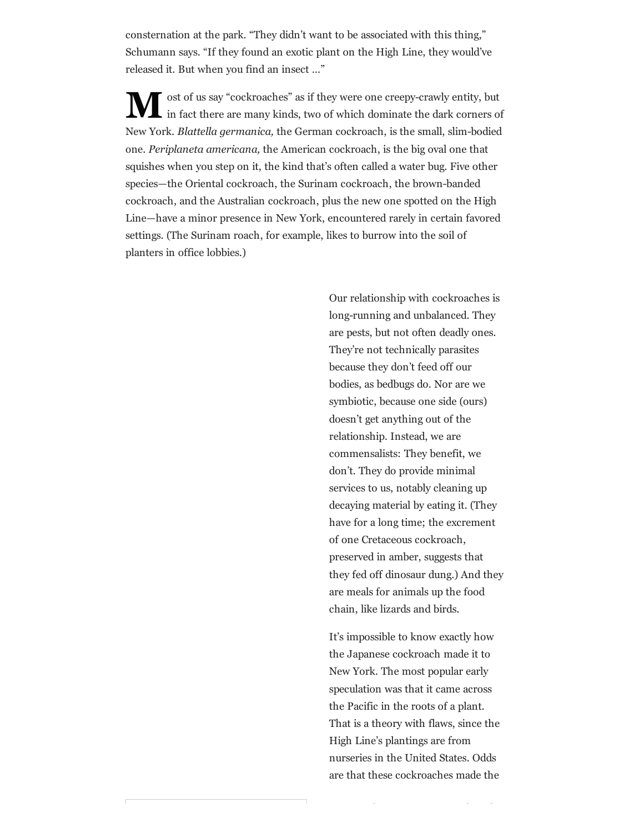consternation at the park. "They didn't want to be associated with this thing," Schumann says. "If they found an exotic plant on the High Line, they would've released it. But when you find an insect …"

M in fact there are many kinds, two of which dominate the dark corners of ost of us say "cockroaches" as if they were one creepy-crawly entity, but New York. Blattella germanica, the German cockroach, is the small, slim-bodied one. Periplaneta americana, the American cockroach, is the big oval one that squishes when you step on it, the kind that's often called a water bug. Five other species—the Oriental cockroach, the Surinam cockroach, the brown-banded cockroach, and the Australian cockroach, plus the new one spotted on the High Line—have a minor presence in New York, encountered rarely in certain favored settings. (The Surinam roach, for example, likes to burrow into the soil of planters in office lobbies.)

> Our relationship with cockroaches is long-running and unbalanced. They are pests, but not often deadly ones. They're not technically parasites because they don't feed off our bodies, as bedbugs do. Nor are we symbiotic, because one side (ours) doesn't get anything out of the relationship. Instead, we are commensalists: They benefit, we don't. They do provide minimal services to us, notably cleaning up decaying material by eating it. (They have for a long time; the excrement of one Cretaceous cockroach, preserved in amber, suggests that they fed off dinosaur dung.) And they are meals for animals up the food chain, like lizards and birds.

It's impossible to know exactly how the Japanese cockroach made it to New York. The most popular early speculation was that it came across the Pacific in the roots of a plant. That is a theory with flaws, since the High Line's plantings are from nurseries in the United States. Odds are that these cockroaches made the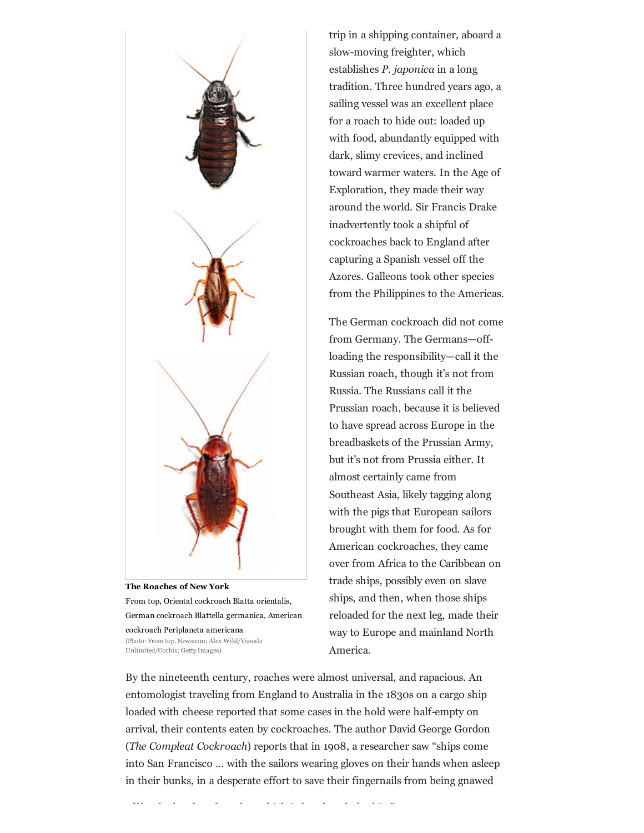

The Roaches of New York From top, Oriental cockroach Blatta orientalis, German cockroach Blattella germanica, American cockroach Periplaneta americana (Photo: From top, Newscom; Alex Wild/Visuals Unlimited/Corbis; Getty Images)

trip in a shipping container, aboard a slow-moving freighter, which establishes P. japonica in a long tradition. Three hundred years ago, a sailing vessel was an excellent place for a roach to hide out: loaded up with food, abundantly equipped with dark, slimy crevices, and inclined toward warmer waters. In the Age of Exploration, they made their way around the world. Sir Francis Drake inadvertently took a shipful of cockroaches back to England after capturing a Spanish vessel off the Azores. Galleons took other species from the Philippines to the Americas.

The German cockroach did not come from Germany. The Germans—offloading the responsibility—call it the Russian roach, though it's not from Russia. The Russians call it the Prussian roach, because it is believed to have spread across Europe in the breadbaskets of the Prussian Army, but it's not from Prussia either. It almost certainly came from Southeast Asia, likely tagging along with the pigs that European sailors brought with them for food. As for American cockroaches, they came over from Africa to the Caribbean on trade ships, possibly even on slave ships, and then, when those ships reloaded for the next leg, made their way to Europe and mainland North America.

By the nineteenth century, roaches were almost universal, and rapacious. An entomologist traveling from England to Australia in the 1830s on a cargo ship loaded with cheese reported that some cases in the hold were half-empty on arrival, their contents eaten by cockroaches. The author David George Gordon (The Compleat Cockroach) reports that in 1908, a researcher saw "ships come into San Francisco … with the sailors wearing gloves on their hands when asleep in their bunks, in a desperate effort to save their fingernails from being gnawed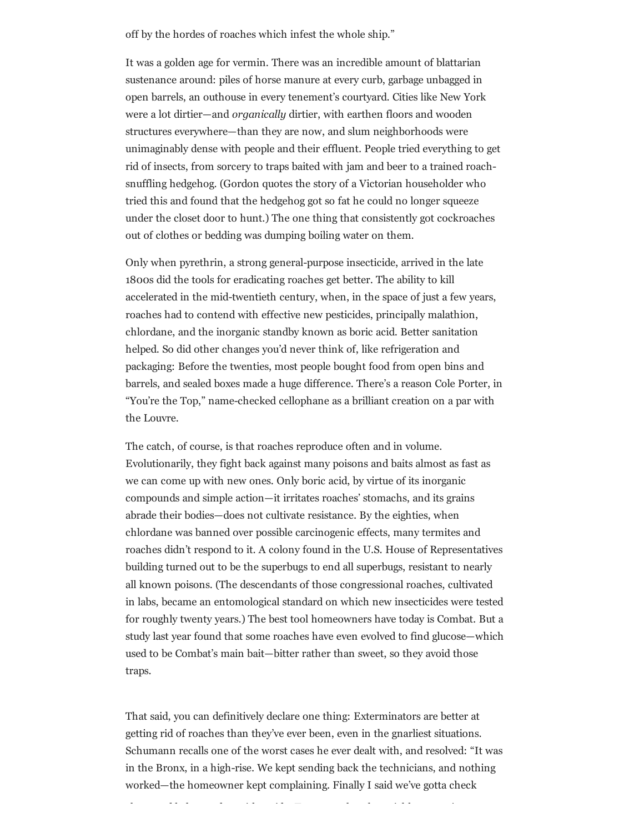off by the hordes of roaches which infest the whole ship."

It was a golden age for vermin. There was an incredible amount of blattarian sustenance around: piles of horse manure at every curb, garbage unbagged in open barrels, an outhouse in every tenement's courtyard. Cities like New York were a lot dirtier—and organically dirtier, with earthen floors and wooden structures everywhere—than they are now, and slum neighborhoods were unimaginably dense with people and their effluent. People tried everything to get rid of insects, from sorcery to traps baited with jam and beer to a trained roachsnuffling hedgehog. (Gordon quotes the story of a Victorian householder who tried this and found that the hedgehog got so fat he could no longer squeeze under the closet door to hunt.) The one thing that consistently got cockroaches out of clothes or bedding was dumping boiling water on them.

Only when pyrethrin, a strong general-purpose insecticide, arrived in the late 1800s did the tools for eradicating roaches get better. The ability to kill accelerated in the mid-twentieth century, when, in the space of just a few years, roaches had to contend with effective new pesticides, principally malathion, chlordane, and the inorganic standby known as boric acid. Better sanitation helped. So did other changes you'd never think of, like refrigeration and packaging: Before the twenties, most people bought food from open bins and barrels, and sealed boxes made a huge difference. There's a reason Cole Porter, in "You're the Top," namechecked cellophane as a brilliant creation on a par with the Louvre.

The catch, of course, is that roaches reproduce often and in volume. Evolutionarily, they fight back against many poisons and baits almost as fast as we can come up with new ones. Only boric acid, by virtue of its inorganic compounds and simple action—it irritates roaches' stomachs, and its grains abrade their bodies—does not cultivate resistance. By the eighties, when chlordane was banned over possible carcinogenic effects, many termites and roaches didn't respond to it. A colony found in the U.S. House of Representatives building turned out to be the superbugs to end all superbugs, resistant to nearly all known poisons. (The descendants of those congressional roaches, cultivated in labs, became an entomological standard on which new insecticides were tested for roughly twenty years.) The best tool homeowners have today is Combat. But a study last year found that some roaches have even evolved to find glucose—which used to be Combat's main bait—bitter rather than sweet, so they avoid those traps.

That said, you can definitively declare one thing: Exterminators are better at getting rid of roaches than they've ever been, even in the gnarliest situations. Schumann recalls one of the worst cases he ever dealt with, and resolved: "It was in the Bronx, in a high-rise. We kept sending back the technicians, and nothing worked—the homeowner kept complaining. Finally I said we've gotta check

above and below and on either side. Turns out that the neighbor upstairs was a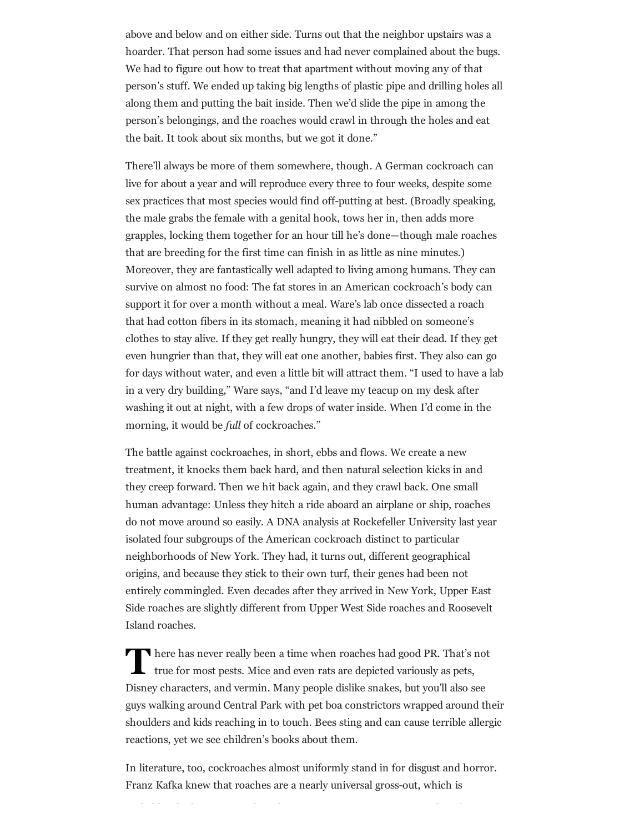above and below and on either side. Turns out that the neighbor upstairs was a hoarder. That person had some issues and had never complained about the bugs. We had to figure out how to treat that apartment without moving any of that person's stuff. We ended up taking big lengths of plastic pipe and drilling holes all along them and putting the bait inside. Then we'd slide the pipe in among the person's belongings, and the roaches would crawl in through the holes and eat the bait. It took about six months, but we got it done."

There'll always be more of them somewhere, though. A German cockroach can live for about a year and will reproduce every three to four weeks, despite some sex practices that most species would find off-putting at best. (Broadly speaking, the male grabs the female with a genital hook, tows her in, then adds more grapples, locking them together for an hour till he's done—though male roaches that are breeding for the first time can finish in as little as nine minutes.) Moreover, they are fantastically well adapted to living among humans. They can survive on almost no food: The fat stores in an American cockroach's body can support it for over a month without a meal. Ware's lab once dissected a roach that had cotton fibers in its stomach, meaning it had nibbled on someone's clothes to stay alive. If they get really hungry, they will eat their dead. If they get even hungrier than that, they will eat one another, babies first. They also can go for days without water, and even a little bit will attract them. "I used to have a lab in a very dry building," Ware says, "and I'd leave my teacup on my desk after washing it out at night, with a few drops of water inside. When I'd come in the morning, it would be full of cockroaches."

The battle against cockroaches, in short, ebbs and flows. We create a new treatment, it knocks them back hard, and then natural selection kicks in and they creep forward. Then we hit back again, and they crawl back. One small human advantage: Unless they hitch a ride aboard an airplane or ship, roaches do not move around so easily. A DNA analysis at Rockefeller University last year isolated four subgroups of the American cockroach distinct to particular neighborhoods of New York. They had, it turns out, different geographical origins, and because they stick to their own turf, their genes had been not entirely commingled. Even decades after they arrived in New York, Upper East Side roaches are slightly different from Upper West Side roaches and Roosevelt Island roaches.

There has never really been a time when roaches had good PR. That's intrue for most pests. Mice and even rats are depicted variously as pets, There has never really been a time when roaches had good PR. That's not Disney characters, and vermin. Many people dislike snakes, but you'll also see guys walking around Central Park with pet boa constrictors wrapped around their shoulders and kids reaching in to touch. Bees sting and can cause terrible allergic reactions, yet we see children's books about them.

In literature, too, cockroaches almost uniformly stand in for disgust and horror. Franz Kafka knew that roaches are a nearly universal gross-out, which is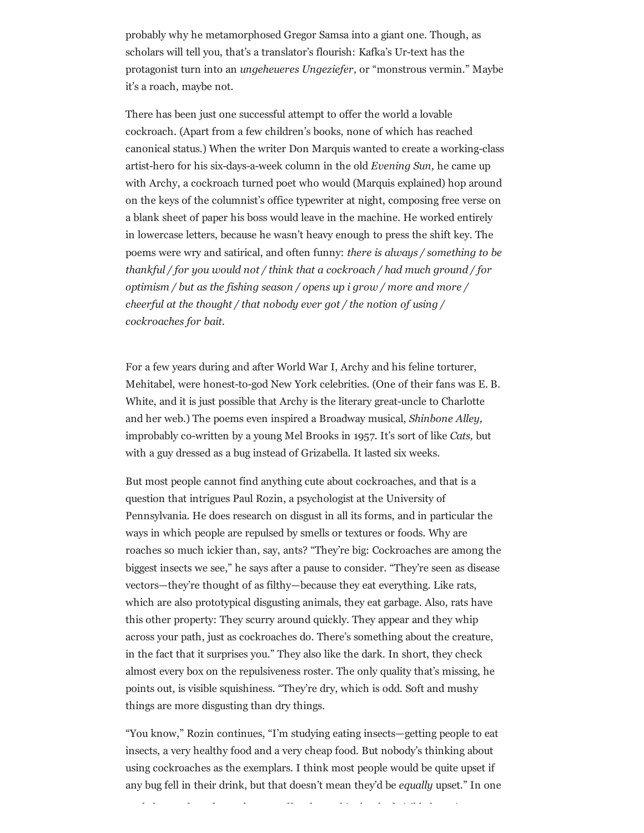probably why he metamorphosed Gregor Samsa into a giant one. Though, as scholars will tell you, that's a translator's flourish: Kafka's Ur-text has the protagonist turn into an ungeheueres Ungeziefer, or "monstrous vermin." Maybe it's a roach, maybe not.

There has been just one successful attempt to offer the world a lovable cockroach. (Apart from a few children's books, none of which has reached canonical status.) When the writer Don Marquis wanted to create a working-class artist-hero for his six-days-a-week column in the old Evening Sun, he came up with Archy, a cockroach turned poet who would (Marquis explained) hop around on the keys of the columnist's office typewriter at night, composing free verse on a blank sheet of paper his boss would leave in the machine. He worked entirely in lowercase letters, because he wasn't heavy enough to press the shift key. The poems were wry and satirical, and often funny: there is always / something to be thankful / for you would not / think that a cockroach / had much ground / for optimism / but as the fishing season / opens up i grow / more and more / cheerful at the thought / that nobody ever got / the notion of using / cockroaches for bait.

For a few years during and after World War I, Archy and his feline torturer, Mehitabel, were honest-to-god New York celebrities. (One of their fans was E. B. White, and it is just possible that Archy is the literary great-uncle to Charlotte and her web.) The poems even inspired a Broadway musical, Shinbone Alley, improbably co-written by a young Mel Brooks in 1957. It's sort of like Cats, but with a guy dressed as a bug instead of Grizabella. It lasted six weeks.

But most people cannot find anything cute about cockroaches, and that is a question that intrigues Paul Rozin, a psychologist at the University of Pennsylvania. He does research on disgust in all its forms, and in particular the ways in which people are repulsed by smells or textures or foods. Why are roaches so much ickier than, say, ants? "They're big: Cockroaches are among the biggest insects we see," he says after a pause to consider. "They're seen as disease vectors—they're thought of as filthy—because they eat everything. Like rats, which are also prototypical disgusting animals, they eat garbage. Also, rats have this other property: They scurry around quickly. They appear and they whip across your path, just as cockroaches do. There's something about the creature, in the fact that it surprises you." They also like the dark. In short, they check almost every box on the repulsiveness roster. The only quality that's missing, he points out, is visible squishiness. "They're dry, which is odd. Soft and mushy things are more disgusting than dry things.

"You know," Rozin continues, "I'm studying eating insects—getting people to eat insects, a very healthy food and a very cheap food. But nobody's thinking about using cockroaches as the exemplars. I think most people would be quite upset if any bug fell in their drink, but that doesn't mean they'd be equally upset." In one

study he conducted, people were offered a cookie that had visibly been in contact